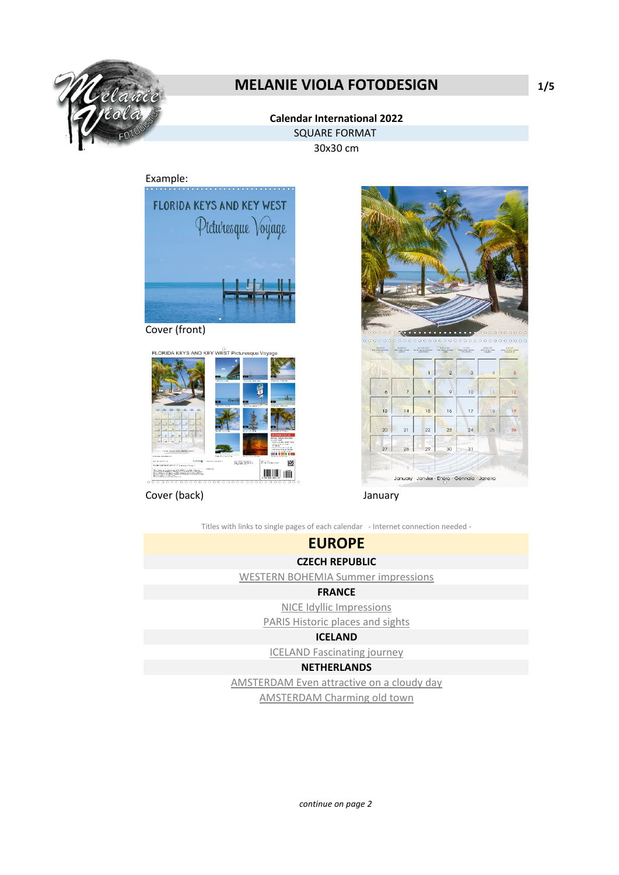

## **MELANIE VIOLA FOTODESIGN 1/5**

#### **Calendar International 2022** SQUARE FORMAT

30x30 cm

#### Example:



Cover (front)



Cover (back) January



January Janvier Enero Gennaio Janeiro

Titles with links to single pages of each calendar - Internet connection needed -

# **EUROPE**

### **CZECH REPUBLIC**

[WESTERN BOHEMIA Summer impressions](https://www.calvendo.de/galerie/western-bohemia-summer-impressions/?s=WESTERN%20BOHEMIA%20Summer%20impressions&type=0&format=0&lang=-1&kdgrp=0&cat=0&)

#### **FRANCE**

[NICE Idyllic Impressions](https://www.calvendo.de/galerie/nice-idyllic-impressions/?s=NICE%20Idyllic%20Impressions&type=0&format=0&lang=2&kdgrp=0&cat=0&)

[PARIS Historic places and sights](https://www.calvendo.de/galerie/paris-historic-places-and-sights/?a=3650&)

#### **ICELAND**

[ICELAND Fascinating journey](https://www.calvendo.de/galerie/iceland-fascinating-journey/?a=3650&)

#### **NETHERLANDS**

[AMSTERDAM Even attractive on a cloudy day](https://www.calvendo.de/galerie/amsterdam-even-attractive-on-a-cloudy-day/?s=AMSTERDAM%20Even%20attractive%20on%20a%20cloudy%20day&type=0&format=0&lang=2&kdgrp=0&cat=0&)

[AMSTERDAM Charming old town](https://www.calvendo.de/galerie/amsterdam-charming-old-town/?a=3650&)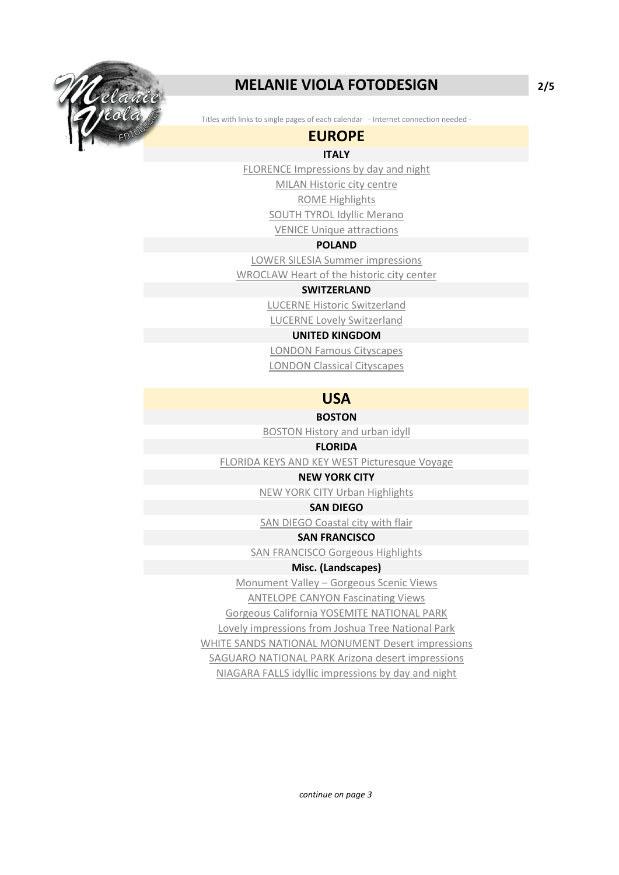

## **MELANIE VIOLA FOTODESIGN 2/5**

Titles with links to single pages of each calendar - Internet connection needed -

### **EUROPE**

### **ITALY**

[FLORENCE Impressions by day and night](https://www.calvendo.de/galerie/florence-impressions-by-day-and-night/?s=FLORENCE%20Impressions%20by%20day%20and%20night&type=0&format=0&lang=2&kdgrp=0&cat=0&)

[MILAN Historic city centre](https://www.calvendo.de/galerie/milan-historic-city-centre/?s=MILAN%20Historic%20city%20centre&type=0&format=0&lang=2&kdgrp=0&cat=0&) [ROME Highlights](https://www.calvendo.de/galerie/rome-highlights-2/?s=ROME%20Highlights&type=0&format=0&lang=2&kdgrp=0&cat=0&)

[SOUTH TYROL Idyllic Merano](https://www.calvendo.de/galerie/south-tyrol-idyllic-merano/?s=SOUTH%20TYROL%20Idyllic%20Merano&type=0&format=0&lang=2&kdgrp=0&cat=0&)

[VENICE Unique attractions](https://www.calvendo.de/galerie/venice-unique-attractions-2/?s=VENICE%20Unique%20attractions&type=0&format=0&lang=2&kdgrp=0&cat=0&)

#### **POLAND**

[LOWER SILESIA Summer impressions](https://www.calvendo.de/galerie/lower-silesia-summer-impressions/?a=3650&)

[WROCLAW Heart of the historic city center](https://www.calvendo.de/galerie/wroclaw-heart-of-the-historic-city-center/?a=3650&)

#### **SWITZERLAND**

[LUCERNE Historic Switzerland](https://www.calvendo.de/galerie/lucerne-historic-switzerland/?s=LUCERNE%20Historic%20Switzerland&type=0&format=0&lang=2&kdgrp=0&cat=0&) [LUCERNE Lovely Switzerland](https://www.calvendo.de/galerie/lucerne-lovely-switzerland/?s=LUCERNE%20Lovely%20Switzerland&type=0&format=0&lang=2&kdgrp=0&cat=0&)

#### **UNITED KINGDOM**

[LONDON Famous Cityscapes](https://www.calvendo.de/galerie/london-famous-cityscapes-2/?a=3650&) [LONDON Classical Cityscapes](https://www.calvendo.de/galerie/london-classical-cityscapes-2/?s=LONDON%20Classical%20Cityscapes&type=0&format=0&lang=2&kdgrp=0&cat=0&)

### **USA**

#### **BOSTON**

[BOSTON History and urban idyll](https://www.calvendo.de/galerie/boston-history-and-urban-idyll/?a=3650&)

#### **FLORIDA**

[FLORIDA KEYS AND KEY WEST Picturesque Voyage](https://www.calvendo.de/galerie/florida-keys-and-key-west-picturesque-voyage/?s=FLORIDA%20KEYS%20AND%20KEY%20WEST%20Picturesque%20Voyage&type=0&format=0&lang=2&kdgrp=0&cat=0&)

#### **NEW YORK CITY**

[NEW YORK CITY Urban Highlights](https://www.calvendo.de/galerie/new-york-city-urban-highlights-2/?s=NEW%20YORK%20CITY%20Urban%20Highlights&type=0&format=0&lang=2&kdgrp=0&cat=0&)

#### **SAN DIEGO**

[SAN DIEGO Coastal city with flair](https://www.calvendo.de/galerie/san-diego-coastal-city-with-flair/?a=3650&)

#### **SAN FRANCISCO**

[SAN FRANCISCO Gorgeous Highlights](https://www.calvendo.de/galerie/san-francisco-gorgeous-highlights-2/?s=SAN%20FRANCISCO%20Gorgeous%20Highlights&type=0&format=0&lang=2&kdgrp=0&cat=0&)

#### **Misc. (Landscapes)**

[Monument Valley – Gorgeous Scenic Views](https://www.calvendo.de/galerie/monument-valley--gorgeous-scenic-views/?s=Monument%20Valley&type=0&format=0&lang=2&kdgrp=0&cat=0&)

[ANTELOPE CANYON Fascinating Views](https://www.calvendo.de/galerie/antelope-canyon-fascinating-views/?s=ANTELOPE%20CANYON%20Fascinating%20Views&type=0&format=0&lang=2&kdgrp=0&cat=0&)

[Gorgeous California YOSEMITE NATIONAL PARK](https://www.calvendo.de/galerie/gorgeous-california-yosemite-national-park-2/?s=Gorgeous%20California%20YOSEMITE%20NATIONAL%20PARK&type=0&format=0&lang=2&kdgrp=0&cat=0&)

[Lovely impressions from Joshua Tree National Park](https://www.calvendo.de/galerie/lovely-impressions-from-joshua-tree-national-park/?a=3650&)

[WHITE SANDS NATIONAL MONUMENT Desert impressions](https://www.calvendo.de/galerie/white-sands-national-monument-desert-impressions/?a=3650&)

[SAGUARO NATIONAL PARK Arizona desert impressions](https://www.calvendo.de/galerie/saguaro-national-park-arizona-desert-impressions/?a=3650&)

[NIAGARA FALLS idyllic impressions by day and night](https://www.calvendo.de/galerie/niagara-falls-idyllic-impressions-by-day-and-night/?a=3650&)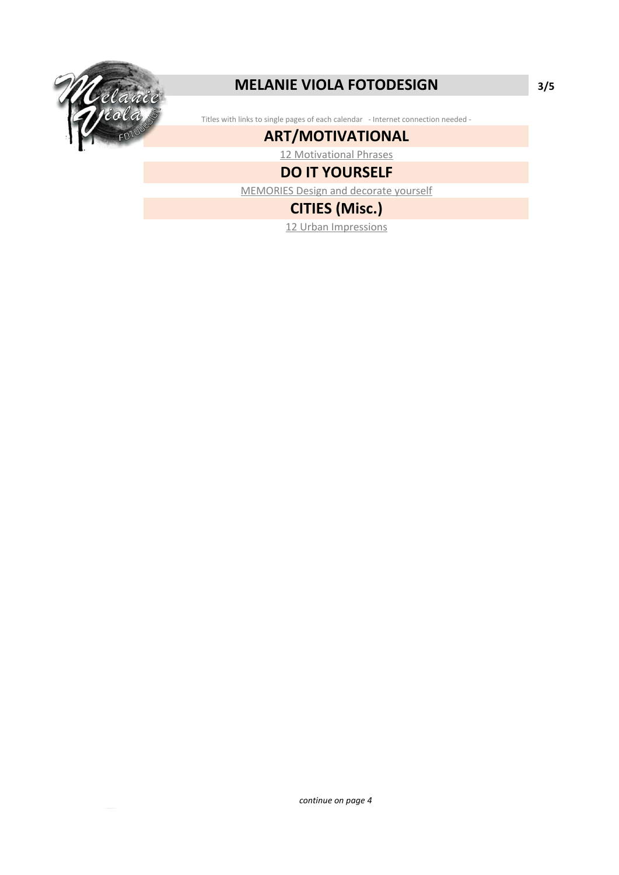

## **MELANIE VIOLA FOTODESIGN 3/5**

Titles with links to single pages of each calendar - Internet connection needed -

### **ART/MOTIVATIONAL**

[12 Motivational Phrases](https://www.calvendo.de/galerie/12-motivational-phrases-2/?s=12%20Motivational%20Phrases&type=0&format=0&lang=2&kdgrp=0&cat=0&)

## **DO IT YOURSELF**

[MEMORIES Design and decorate yourself](https://www.calvendo.de/galerie/memories-design-and-decorate-yourself-2/?s=MEMORIES%20Design%20and%20decorate%20yourself&type=0&format=0&lang=2&kdgrp=0&cat=0&)

## **CITIES (Misc.)**

[12 Urban Impressions](https://www.calvendo.de/galerie/12-staedtische-impressionen/?s=melanie%20viola&type=0&format=0&lang=2&kdgrp=0&cat=0&)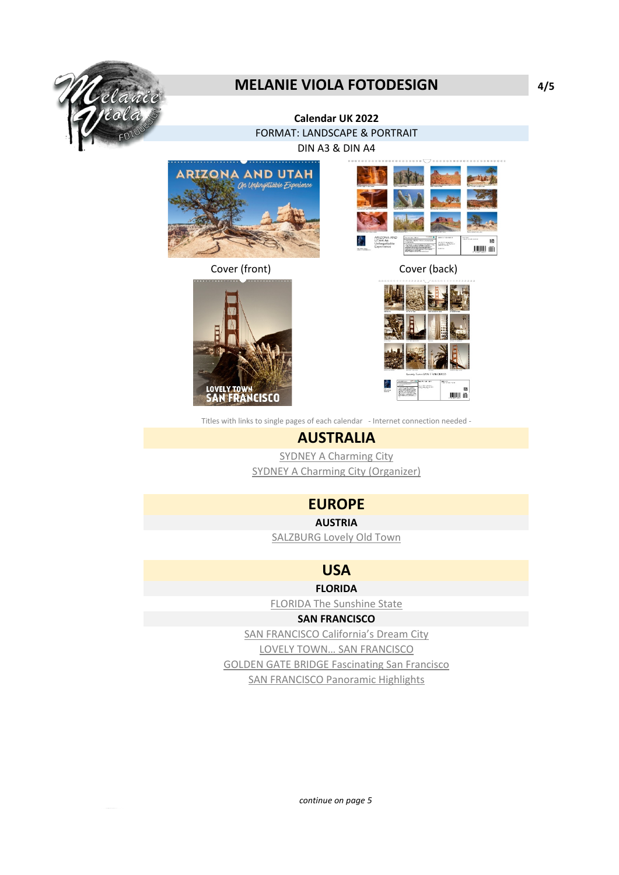

## **MELANIE VIOLA FOTODESIGN 4/5**

#### **Calendar UK 2022** FORMAT: LANDSCAPE & PORTRAIT

DIN A3 & DIN A4



Cover (front) Cover (back)



陵 JUJUL (6)



Titles with links to single pages of each calendar - Internet connection needed -

### **AUSTRALIA**

[SYDNEY A Charming City](https://www.calvendo.de/galerie/sydney-a-charming-city-3/?s=SYDNEY%20A%20Charming%20City&type=0&format=0&lang=2&kdgrp=0&cat=0&) [SYDNEY A Charming City \(Organizer\)](https://www.calvendo.de/galerie/sydney-a-charming-city-4/?s=SYDNEY%20A%20Charming%20City&type=0&format=0&lang=2&kdgrp=0&cat=0&)

### **EUROPE**

**AUSTRIA**

[SALZBURG Lovely Old Town](https://www.calvendo.de/galerie/salzburg-lovely-old-town/?s=SALZBURG%20Lovely%20Old%20Town&type=0&format=0&lang=2&kdgrp=0&cat=0&)

**USA**

**FLORIDA**

[FLORIDA The Sunshine State](https://www.calvendo.de/galerie/florida-the-sunshine-state-3/?s=FLORIDA%20The%20Sunshine%20State&type=0&format=0&lang=2&kdgrp=0&cat=0&)

#### **SAN FRANCISCO**

[SAN FRANCISCO California's Dream City](https://www.calvendo.de/galerie/san-francisco-californias-dream-city-3/?s=SAN%20FRANCISCO%20Dream%20City&type=0&format=0&lang=2&kdgrp=0&cat=0&) [LOVELY TOWN… SAN FRANCISCO](https://www.calvendo.de/galerie/lovely-town-san-francisco-3/?s=LOVELY%20TOwn%20%20SAN%20FRANCISCO&type=0&format=0&lang=2&kdgrp=0&cat=0&) [GOLDEN GATE BRIDGE Fascinating San Francisco](https://www.calvendo.de/galerie/golden-gate-bridge-fascinating-san-francisco-2/?s=GOLDEN%20GATE%20BRIDGE%20Fascinating%20San%20Francisco&type=0&format=0&lang=2&kdgrp=0&cat=0&) [SAN FRANCISCO Panoramic Highlights](https://www.calvendo.de/galerie/san-francisco-panoramic-highlights-2/?s=SAN%20FRANCISCO%20Panoramic%20Highlights&type=0&format=0&lang=2&kdgrp=0&cat=0&)